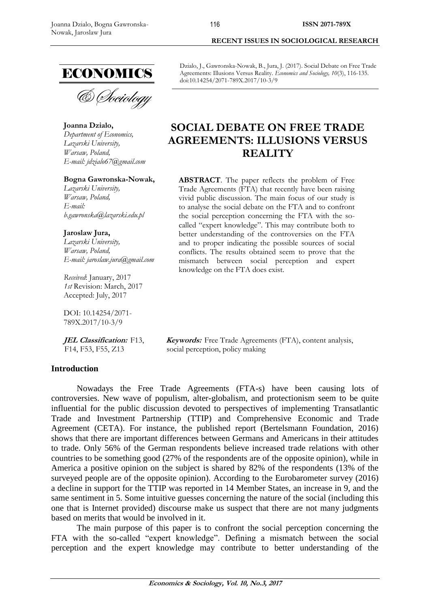

**Joanna Dzialo,**  *Department of Economics, Lazarski University, Warsaw, Poland, E-mail: jdzialo67@gmail.com*

### **Bogna Gawronska-Nowak,**

*Lazarski University, Warsaw, Poland, E-mail: b.gawronska@lazarski.edu.pl*

#### **Jaroslaw Jura,**

*Lazarski University, Warsaw, Poland, E-mail: jaroslaw.jura@gmail.com*

*Received*: January, 2017 *1st* Revision: March, 2017 Accepted: July, 2017

DOI: 10.14254/2071- 789X.2017/10-3/9

**JEL Classification:**F13, F14, F53, F55, Z13

#### **Introduction**

**RECENT ISSUES IN SOCIOLOGICAL RESEARCH** 

Dzialo, J., Gawronska-Nowak, B., Jura, J. (2017). Social Debate on Free Trade Agreements: Illusions Versus Reality*. Economics and Sociology, 10*(3), 116-135. doi:10.14254/2071-789X.2017/10-3/9

# **SOCIAL DEBATE ON FREE TRADE AGREEMENTS: ILLUSIONS VERSUS REALITY**

**ABSTRACT**. The paper reflects the problem of Free Trade Agreements (FTA) that recently have been raising vivid public discussion. The main focus of our study is to analyse the social debate on the FTA and to confront the social perception concerning the FTA with the socalled "expert knowledge". This may contribute both to better understanding of the controversies on the FTA and to proper indicating the possible sources of social conflicts. The results obtained seem to prove that the mismatch between social perception and expert knowledge on the FTA does exist.

**Keywords:**Free Trade Agreements (FTA), content analysis, social perception, policy making

Nowadays the Free Trade Agreements (FTA-s) have been causing lots of controversies. New wave of populism, alter-globalism, and protectionism seem to be quite influential for the public discussion devoted to perspectives of implementing Transatlantic Trade and Investment Partnership (TTIP) and Comprehensive Economic and Trade Agreement (CETA). For instance, the published report (Bertelsmann Foundation, 2016) shows that there are important differences between Germans and Americans in their attitudes to trade. Only 56% of the German respondents believe increased trade relations with other countries to be something good (27% of the respondents are of the opposite opinion), while in America a positive opinion on the subject is shared by 82% of the respondents (13% of the surveyed people are of the opposite opinion). According to the Eurobarometer survey (2016) a decline in support for the TTIP was reported in 14 Member States, an increase in 9, and the same sentiment in 5. Some intuitive guesses concerning the nature of the social (including this one that is Internet provided) discourse make us suspect that there are not many judgments based on merits that would be involved in it.

The main purpose of this paper is to confront the social perception concerning the FTA with the so-called "expert knowledge". Defining a mismatch between the social perception and the expert knowledge may contribute to better understanding of the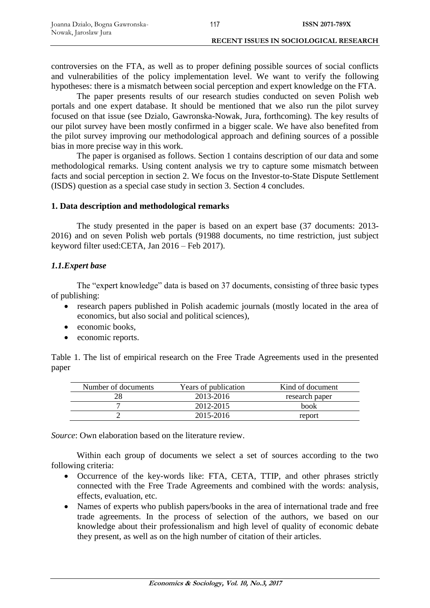controversies on the FTA, as well as to proper defining possible sources of social conflicts and vulnerabilities of the policy implementation level. We want to verify the following hypotheses: there is a mismatch between social perception and expert knowledge on the FTA.

The paper presents results of our research studies conducted on seven Polish web portals and one expert database. It should be mentioned that we also run the pilot survey focused on that issue (see Dzialo, Gawronska-Nowak, Jura, forthcoming). The key results of our pilot survey have been mostly confirmed in a bigger scale. We have also benefited from the pilot survey improving our methodological approach and defining sources of a possible bias in more precise way in this work.

The paper is organised as follows. Section 1 contains description of our data and some methodological remarks. Using content analysis we try to capture some mismatch between facts and social perception in section 2. We focus on the Investor-to-State Dispute Settlement (ISDS) question as a special case study in section 3. Section 4 concludes.

# **1. Data description and methodological remarks**

The study presented in the paper is based on an expert base (37 documents: 2013- 2016) and on seven Polish web portals (91988 documents, no time restriction, just subject keyword filter used:CETA, Jan 2016 – Feb 2017).

# *1.1.Expert base*

The "expert knowledge" data is based on 37 documents, consisting of three basic types of publishing:

- research papers published in Polish academic journals (mostly located in the area of economics, but also social and political sciences),
- economic books,
- economic reports.

Table 1. The list of empirical research on the Free Trade Agreements used in the presented paper

| Number of documents | Years of publication | Kind of document |
|---------------------|----------------------|------------------|
|                     | 2013-2016            | research paper   |
|                     | 2012-2015            | book             |
|                     | 2015-2016            | report           |

*Source*: Own elaboration based on the literature review.

Within each group of documents we select a set of sources according to the two following criteria:

- Occurrence of the key-words like: FTA, CETA, TTIP, and other phrases strictly connected with the Free Trade Agreements and combined with the words: analysis, effects, evaluation, etc.
- Names of experts who publish papers/books in the area of international trade and free trade agreements. In the process of selection of the authors, we based on our knowledge about their professionalism and high level of quality of economic debate they present, as well as on the high number of citation of their articles.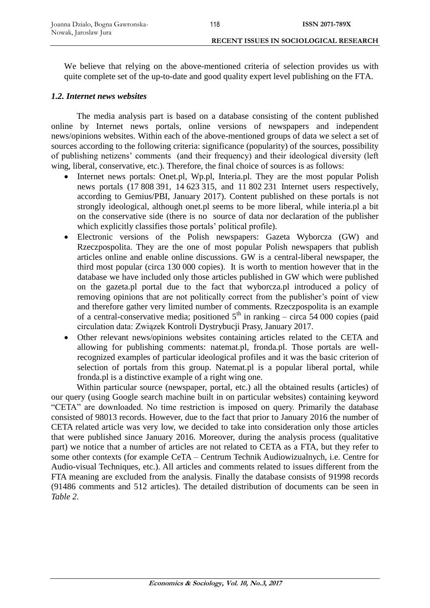We believe that relying on the above-mentioned criteria of selection provides us with quite complete set of the up-to-date and good quality expert level publishing on the FTA.

### *1.2. Internet news websites*

The media analysis part is based on a database consisting of the content published online by Internet news portals, online versions of newspapers and independent news/opinions websites. Within each of the above-mentioned groups of data we select a set of sources according to the following criteria: significance (popularity) of the sources, possibility of publishing netizens' comments (and their frequency) and their ideological diversity (left wing, liberal, conservative, etc.). Therefore, the final choice of sources is as follows:

- Internet news portals: Onet.pl, Wp.pl, Interia.pl. They are the most popular Polish news portals (17 808 391, 14 623 315, and 11 802 231 Internet users respectively, according to Gemius/PBI, January 2017). Content published on these portals is not strongly ideological, although onet.pl seems to be more liberal, while interia.pl a bit on the conservative side (there is no source of data nor declaration of the publisher which explicitly classifies those portals' political profile).
- Electronic versions of the Polish newspapers: Gazeta Wyborcza (GW) and Rzeczpospolita. They are the one of most popular Polish newspapers that publish articles online and enable online discussions. GW is a central-liberal newspaper, the third most popular (circa 130 000 copies). It is worth to mention however that in the database we have included only those articles published in GW which were published on the gazeta.pl portal due to the fact that wyborcza.pl introduced a policy of removing opinions that are not politically correct from the publisher's point of view and therefore gather very limited number of comments. Rzeczpospolita is an example of a central-conservative media; positioned  $5<sup>th</sup>$  in ranking – circa 54 000 copies (paid circulation data: Związek Kontroli Dystrybucji Prasy, January 2017.
- Other relevant news/opinions websites containing articles related to the CETA and allowing for publishing comments: natemat.pl, fronda.pl. Those portals are wellrecognized examples of particular ideological profiles and it was the basic criterion of selection of portals from this group. Natemat.pl is a popular liberal portal, while fronda.pl is a distinctive example of a right wing one.

Within particular source (newspaper, portal, etc.) all the obtained results (articles) of our query (using Google search machine built in on particular websites) containing keyword "CETA" are downloaded. No time restriction is imposed on query. Primarily the database consisted of 98013 records. However, due to the fact that prior to January 2016 the number of CETA related article was very low, we decided to take into consideration only those articles that were published since January 2016. Moreover, during the analysis process (qualitative part) we notice that a number of articles are not related to CETA as a FTA, but they refer to some other contexts (for example CeTA – Centrum Technik Audiowizualnych, i.e. Centre for Audio-visual Techniques, etc.). All articles and comments related to issues different from the FTA meaning are excluded from the analysis. Finally the database consists of 91998 records (91486 comments and 512 articles). The detailed distribution of documents can be seen in *Table 2*.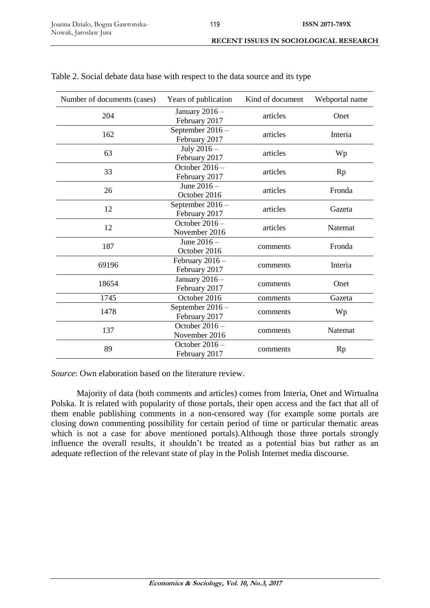| Number of documents (cases) | Years of publication               | Kind of document | Webportal name |
|-----------------------------|------------------------------------|------------------|----------------|
| 204                         | January $2016 -$<br>February 2017  | articles         | Onet           |
| 162                         | September 2016 -<br>February 2017  | articles         | Interia        |
| 63                          | July 2016 -<br>February 2017       | articles         | Wp             |
| 33                          | October $2016 -$<br>February 2017  | articles         | <b>Rp</b>      |
| 26                          | June $2016 -$<br>October 2016      | articles         | Fronda         |
| 12                          | September 2016 -<br>February 2017  | articles         | Gazeta         |
| 12                          | October 2016-<br>November 2016     | articles         | <b>Natemat</b> |
| 187                         | June $2016 -$<br>October 2016      | comments         | Fronda         |
| 69196                       | February $2016 -$<br>February 2017 | comments         | Interia        |
| 18654                       | January 2016 -<br>February 2017    | comments         | Onet           |
| 1745                        | October 2016                       | comments         | Gazeta         |
| 1478                        | September 2016 -<br>February 2017  | comments         | Wp             |
| 137                         | October 2016 -<br>November 2016    | comments         | Natemat        |
| 89                          | October 2016 -<br>February 2017    | comments         | Rp             |

|  |  |  | Table 2. Social debate data base with respect to the data source and its type |  |  |  |
|--|--|--|-------------------------------------------------------------------------------|--|--|--|
|  |  |  |                                                                               |  |  |  |

*Source*: Own elaboration based on the literature review.

Majority of data (both comments and articles) comes from Interia, Onet and Wirtualna Polska. It is related with popularity of those portals, their open access and the fact that all of them enable publishing comments in a non-censored way (for example some portals are closing down commenting possibility for certain period of time or particular thematic areas which is not a case for above mentioned portals).Although those three portals strongly influence the overall results, it shouldn't be treated as a potential bias but rather as an adequate reflection of the relevant state of play in the Polish Internet media discourse.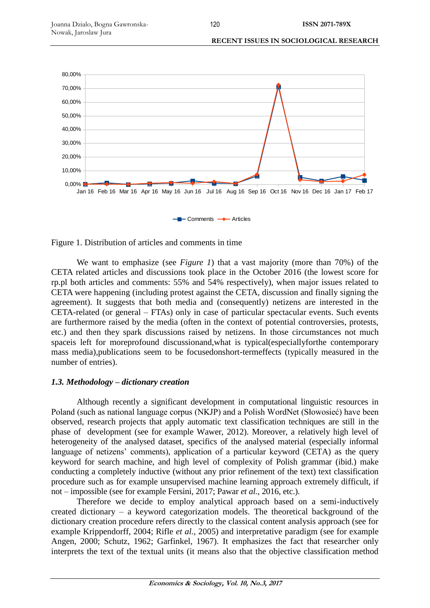**RECENT ISSUES IN SOCIOLOGICAL RESEARCH** 





We want to emphasize (see *Figure 1*) that a vast majority (more than 70%) of the CETA related articles and discussions took place in the October 2016 (the lowest score for rp.pl both articles and comments: 55% and 54% respectively), when major issues related to CETA were happening (including protest against the CETA, discussion and finally signing the agreement). It suggests that both media and (consequently) netizens are interested in the CETA-related (or general – FTAs) only in case of particular spectacular events. Such events are furthermore raised by the media (often in the context of potential controversies, protests, etc.) and then they spark discussions raised by netizens. In those circumstances not much spaceis left for moreprofound discussionand,what is typical(especiallyforthe contemporary mass media),publications seem to be focusedonshort-termeffects (typically measured in the number of entries).

# *1.3. Methodology – dictionary creation*

Although recently a significant development in computational linguistic resources in Poland (such as national language corpus (NKJP) and a Polish WordNet (Słowosieć) have been observed, research projects that apply automatic text classification techniques are still in the phase of development (see for example Wawer, 2012). Moreover, a relatively high level of heterogeneity of the analysed dataset, specifics of the analysed material (especially informal language of netizens' comments), application of a particular keyword (CETA) as the query keyword for search machine, and high level of complexity of Polish grammar (ibid.) make conducting a completely inductive (without any prior refinement of the text) text classification procedure such as for example unsupervised machine learning approach extremely difficult, if not – impossible (see for example Fersini, 2017; Pawar *et al.*, 2016, etc.).

Therefore we decide to employ analytical approach based on a semi-inductively created dictionary – a keyword categorization models. The theoretical background of the dictionary creation procedure refers directly to the classical content analysis approach (see for example Krippendorff, 2004; Rifle *et al.*, 2005) and interpretative paradigm (see for example Angen, 2000; Schutz, 1962; Garfinkel, 1967). It emphasizes the fact that researcher only interprets the text of the textual units (it means also that the objective classification method

120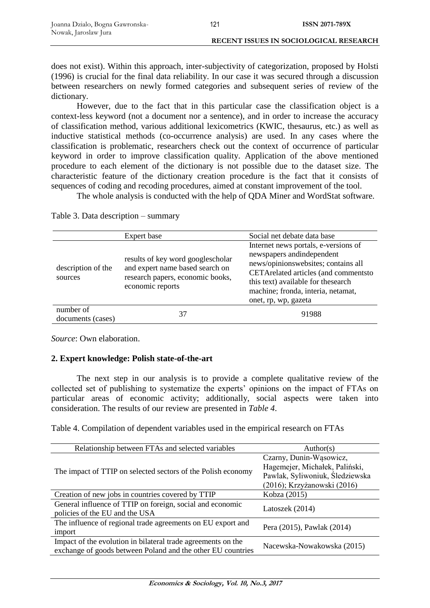does not exist). Within this approach, inter-subjectivity of categorization, proposed by Holsti (1996) is crucial for the final data reliability. In our case it was secured through a discussion between researchers on newly formed categories and subsequent series of review of the dictionary.

121

However, due to the fact that in this particular case the classification object is a context-less keyword (not a document nor a sentence), and in order to increase the accuracy of classification method, various additional lexicometrics (KWIC, thesaurus, etc.) as well as inductive statistical methods (co-occurrence analysis) are used. In any cases where the classification is problematic, researchers check out the context of occurrence of particular keyword in order to improve classification quality. Application of the above mentioned procedure to each element of the dictionary is not possible due to the dataset size. The characteristic feature of the dictionary creation procedure is the fact that it consists of sequences of coding and recoding procedures, aimed at constant improvement of the tool.

The whole analysis is conducted with the help of QDA Miner and WordStat software.

|                                | Expert base                                                                                                                  | Social net debate data base                                                                                                                                                                                                                            |
|--------------------------------|------------------------------------------------------------------------------------------------------------------------------|--------------------------------------------------------------------------------------------------------------------------------------------------------------------------------------------------------------------------------------------------------|
| description of the<br>sources  | results of key word googlescholar<br>and expert name based search on<br>research papers, economic books,<br>economic reports | Internet news portals, e-versions of<br>newspapers and independent<br>news/opinionswebsites; contains all<br>CETArelated articles (and commentsto<br>this text) available for the search<br>machine; fronda, interia, netamat,<br>onet, rp, wp, gazeta |
| number of<br>documents (cases) | 37                                                                                                                           | 91988                                                                                                                                                                                                                                                  |

Table 3. Data description – summary

*Source*: Own elaboration.

# **2. Expert knowledge: Polish state-of-the-art**

The next step in our analysis is to provide a complete qualitative review of the collected set of publishing to systematize the experts' opinions on the impact of FTAs on particular areas of economic activity; additionally, social aspects were taken into consideration. The results of our review are presented in *Table 4*.

Table 4. Compilation of dependent variables used in the empirical research on FTAs

| Relationship between FTAs and selected variables             | Author(s)                       |  |
|--------------------------------------------------------------|---------------------------------|--|
|                                                              | Czarny, Dunin-Wąsowicz,         |  |
| The impact of TTIP on selected sectors of the Polish economy | Hagemejer, Michałek, Paliński,  |  |
|                                                              | Pawlak, Syliwoniuk, Śledziewska |  |
|                                                              | (2016); Krzyżanowski (2016)     |  |
| Creation of new jobs in countries covered by TTIP            | Kobza (2015)                    |  |
| General influence of TTIP on foreign, social and economic    | Latoszek (2014)                 |  |
| policies of the EU and the USA                               |                                 |  |
| The influence of regional trade agreements on EU export and  | Pera (2015), Pawlak (2014)      |  |
| import                                                       |                                 |  |
| Impact of the evolution in bilateral trade agreements on the |                                 |  |
| exchange of goods between Poland and the other EU countries  | Nacewska-Nowakowska (2015)      |  |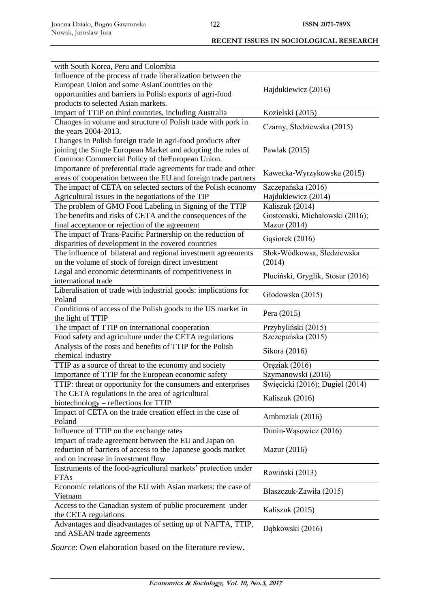| with South Korea, Peru and Colombia                             |                                   |
|-----------------------------------------------------------------|-----------------------------------|
| Influence of the process of trade liberalization between the    |                                   |
| European Union and some AsianCountries on the                   | Hajdukiewicz (2016)               |
| opportunities and barriers in Polish exports of agri-food       |                                   |
| products to selected Asian markets.                             |                                   |
| Impact of TTIP on third countries, including Australia          | Kozielski (2015)                  |
| Changes in volume and structure of Polish trade with pork in    |                                   |
| the years 2004-2013.                                            | Czarny, Śledziewska (2015)        |
| Changes in Polish foreign trade in agri-food products after     |                                   |
| joining the Single European Market and adopting the rules of    | Pawlak (2015)                     |
| Common Commercial Policy of the European Union.                 |                                   |
| Importance of preferential trade agreements for trade and other |                                   |
| areas of cooperation between the EU and foreign trade partners  | Kawecka-Wyrzykowska (2015)        |
| The impact of CETA on selected sectors of the Polish economy    | Szczepańska (2016)                |
| Agricultural issues in the negotiations of the TIP              | Hajdukiewicz (2014)               |
| The problem of GMO Food Labeling in Signing of the TTIP         | Kaliszuk (2014)                   |
| The benefits and risks of CETA and the consequences of the      | Gostomski, Michałowski (2016);    |
| final acceptance or rejection of the agreement                  | <b>Mazur</b> (2014)               |
| The impact of Trans-Pacific Partnership on the reduction of     |                                   |
| disparities of development in the covered countries             | Gasiorek (2016)                   |
| The influence of bilateral and regional investment agreements   | Słok-Wódkowsa, Śledziewska        |
| on the volume of stock of foreign direct investment             | (2014)                            |
| Legal and economic determinants of competitiveness in           |                                   |
| international trade                                             | Pluciński, Gryglik, Stosur (2016) |
| Liberalisation of trade with industrial goods: implications for |                                   |
| Poland                                                          | Głodowska (2015)                  |
| Conditions of access of the Polish goods to the US market in    |                                   |
| the light of TTIP                                               | Pera (2015)                       |
| The impact of TTIP on international cooperation                 | Przybyliński (2015)               |
| Food safety and agriculture under the CETA regulations          | Szczepańska (2015)                |
| Analysis of the costs and benefits of TTIP for the Polish       |                                   |
| chemical industry                                               | Sikora (2016)                     |
|                                                                 |                                   |
| TTIP as a source of threat to the economy and society           | Oręziak (2016)                    |
| Importance of TTIP for the European economic safety             | Szymanowski (2016)                |
| TTIP: threat or opportunity for the consumers and enterprises   | Święcicki (2016); Dugiel (2014)   |
| The CETA regulations in the area of agricultural                | Kaliszuk (2016)                   |
| biotechnology - reflections for TTIP                            |                                   |
| Impact of CETA on the trade creation effect in the case of      | Ambroziak (2016)                  |
| Poland                                                          |                                   |
| Influence of TTIP on the exchange rates                         | Dunin-Wasowicz (2016)             |
| Impact of trade agreement between the EU and Japan on           |                                   |
| reduction of barriers of access to the Japanese goods market    | <b>Mazur</b> (2016)               |
| and on increase in investment flow                              |                                   |
| Instruments of the food-agricultural markets' protection under  | Rowiński (2013)                   |
| <b>FTAs</b>                                                     |                                   |
| Economic relations of the EU with Asian markets: the case of    | Błaszczuk-Zawiła (2015)           |
| Vietnam                                                         |                                   |
| Access to the Canadian system of public procurement under       | Kaliszuk (2015)                   |
| the CETA regulations                                            |                                   |
| Advantages and disadvantages of setting up of NAFTA, TTIP,      | Dąbkowski (2016)                  |
| and ASEAN trade agreements                                      |                                   |

*Source*: Own elaboration based on the literature review.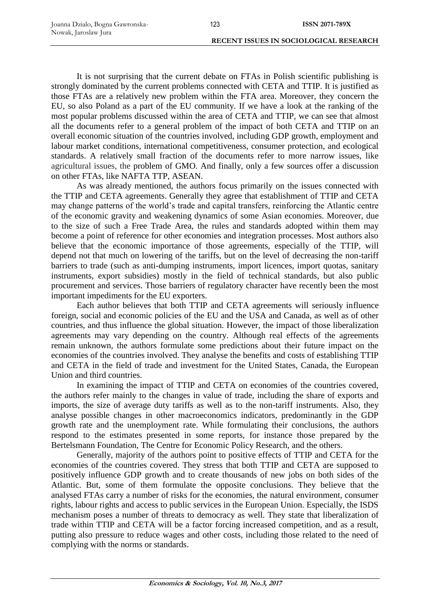It is not surprising that the current debate on FTAs in Polish scientific publishing is strongly dominated by the current problems connected with CETA and TTIP. It is justified as those FTAs are a relatively new problem within the FTA area. Moreover, they concern the EU, so also Poland as a part of the EU community. If we have a look at the ranking of the most popular problems discussed within the area of CETA and TTIP, we can see that almost all the documents refer to a general problem of the impact of both CETA and TTIP on an overall economic situation of the countries involved, including GDP growth, employment and labour market conditions, international competitiveness, consumer protection, and ecological standards. A relatively small fraction of the documents refer to more narrow issues, like agricultural issues, the problem of GMO. And finally, only a few sources offer a discussion on other FTAs, like NAFTA TTP, ASEAN.

As was already mentioned, the authors focus primarily on the issues connected with the TTIP and CETA agreements. Generally they agree that establishment of TTIP and CETA may change patterns of the world's trade and capital transfers, reinforcing the Atlantic centre of the economic gravity and weakening dynamics of some Asian economies. Moreover, due to the size of such a Free Trade Area, the rules and standards adopted within them may become a point of reference for other economies and integration processes. Most authors also believe that the economic importance of those agreements, especially of the TTIP, will depend not that much on lowering of the tariffs, but on the level of decreasing the non-tariff barriers to trade (such as anti-dumping instruments, import licences, import quotas, sanitary instruments, export subsidies) mostly in the field of technical standards, but also public procurement and services. Those barriers of regulatory character have recently been the most important impediments for the EU exporters.

Each author believes that both TTIP and CETA agreements will seriously influence foreign, social and economic policies of the EU and the USA and Canada, as well as of other countries, and thus influence the global situation. However, the impact of those liberalization agreements may vary depending on the country. Although real effects of the agreements remain unknown, the authors formulate some predictions about their future impact on the economies of the countries involved. They analyse the benefits and costs of establishing TTIP and CETA in the field of trade and investment for the United States, Canada, the European Union and third countries.

In examining the impact of TTIP and CETA on economies of the countries covered, the authors refer mainly to the changes in value of trade, including the share of exports and imports, the size of average duty tariffs as well as to the non-tariff instruments. Also, they analyse possible changes in other macroeconomics indicators, predominantly in the GDP growth rate and the unemployment rate. While formulating their conclusions, the authors respond to the estimates presented in some reports, for instance those prepared by the Bertelsmann Foundation, The Centre for Economic Policy Research, and the others.

Generally, majority of the authors point to positive effects of TTIP and CETA for the economies of the countries covered. They stress that both TTIP and CETA are supposed to positively influence GDP growth and to create thousands of new jobs on both sides of the Atlantic. But, some of them formulate the opposite conclusions. They believe that the analysed FTAs carry a number of risks for the economies, the natural environment, consumer rights, labour rights and access to public services in the European Union. Especially, the ISDS mechanism poses a number of threats to democracy as well. They state that liberalization of trade within TTIP and CETA will be a factor forcing increased competition, and as a result, putting also pressure to reduce wages and other costs, including those related to the need of complying with the norms or standards.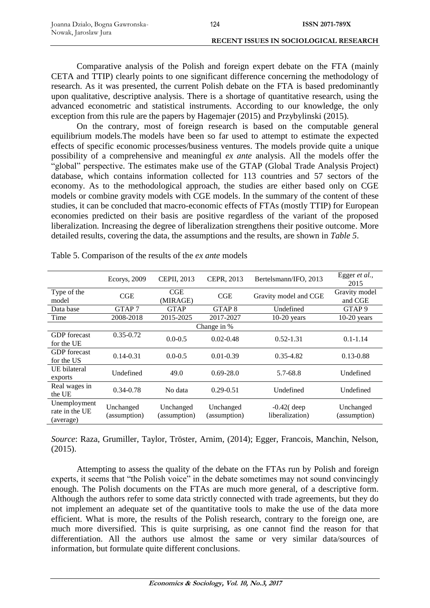Comparative analysis of the Polish and foreign expert debate on the FTA (mainly CETA and TTIP) clearly points to one significant difference concerning the methodology of research. As it was presented, the current Polish debate on the FTA is based predominantly upon qualitative, descriptive analysis. There is a shortage of quantitative research, using the advanced econometric and statistical instruments. According to our knowledge, the only exception from this rule are the papers by Hagemajer (2015) and Przybylinski (2015).

On the contrary, most of foreign research is based on the computable general equilibrium models.The models have been so far used to attempt to estimate the expected effects of specific economic processes/business ventures. The models provide quite a unique possibility of a comprehensive and meaningful *ex ante* analysis. All the models offer the "global" perspective. The estimates make use of the GTAP (Global Trade Analysis Project) database, which contains information collected for 113 countries and 57 sectors of the economy. As to the methodological approach, the studies are either based only on CGE models or combine gravity models with CGE models. In the summary of the content of these studies, it can be concluded that macro-economic effects of FTAs (mostly TTIP) for European economies predicted on their basis are positive regardless of the variant of the proposed liberalization. Increasing the degree of liberalization strengthens their positive outcome. More detailed results, covering the data, the assumptions and the results, are shown in *Table 5*.

|                                             | Ecorys, 2009              | CEPII, 2013               | CEPR, 2013                | Bertelsmann/IFO, 2013           | Egger et al.,<br>2015     |
|---------------------------------------------|---------------------------|---------------------------|---------------------------|---------------------------------|---------------------------|
| Type of the<br>model                        | CGE                       | CGE<br>(MIRAGE)           | CGE                       | Gravity model and CGE           | Gravity model<br>and CGE  |
| Data base                                   | GTAP <sub>7</sub>         | <b>GTAP</b>               | GTAP <sub>8</sub>         | Undefined                       | GTAP <sub>9</sub>         |
| Time                                        | 2008-2018                 | 2015-2025                 | 2017-2027                 | $10-20$ years                   | $10-20$ years             |
|                                             |                           |                           | Change in %               |                                 |                           |
| <b>GDP</b> forecast<br>for the UE           | $0.35 - 0.72$             | $0.0 - 0.5$               | $0.02 - 0.48$             | $0.52 - 1.31$                   | $0.1 - 1.14$              |
| <b>GDP</b> forecast<br>for the US           | $0.14 - 0.31$             | $0.0 - 0.5$               | $0.01 - 0.39$             | $0.35 - 4.82$                   | $0.13 - 0.88$             |
| UE bilateral<br>exports                     | Undefined                 | 49.0                      | $0.69 - 28.0$             | 5.7-68.8                        | Undefined                 |
| Real wages in<br>the UE                     | $0.34 - 0.78$             | No data                   | $0.29 - 0.51$             | Undefined                       | Undefined                 |
| Unemployment<br>rate in the UE<br>(average) | Unchanged<br>(assumption) | Unchanged<br>(assumption) | Unchanged<br>(assumption) | $-0.42$ deep<br>liberalization) | Unchanged<br>(assumption) |

Table 5. Comparison of the results of the *ex ante* models

*Source*: Raza, Grumiller, Taylor, Tröster, Arnim, (2014); Egger, Francois, Manchin, Nelson, (2015).

Attempting to assess the quality of the debate on the FTAs run by Polish and foreign experts, it seems that "the Polish voice" in the debate sometimes may not sound convincingly enough. The Polish documents on the FTAs are much more general, of a descriptive form. Although the authors refer to some data strictly connected with trade agreements, but they do not implement an adequate set of the quantitative tools to make the use of the data more efficient. What is more, the results of the Polish research, contrary to the foreign one, are much more diversified. This is quite surprising, as one cannot find the reason for that differentiation. All the authors use almost the same or very similar data/sources of information, but formulate quite different conclusions.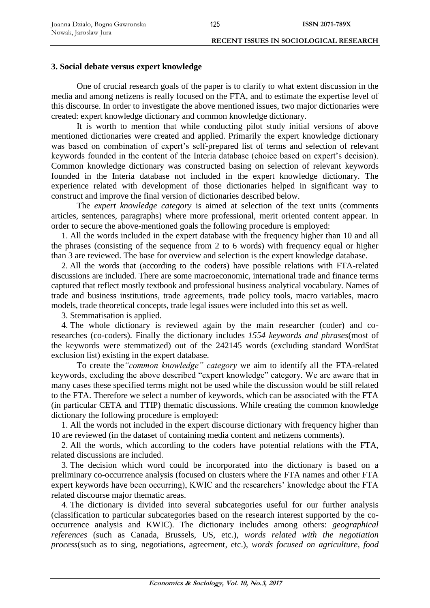### **3. Social debate versus expert knowledge**

One of crucial research goals of the paper is to clarify to what extent discussion in the media and among netizens is really focused on the FTA, and to estimate the expertise level of this discourse. In order to investigate the above mentioned issues, two major dictionaries were created: expert knowledge dictionary and common knowledge dictionary.

It is worth to mention that while conducting pilot study initial versions of above mentioned dictionaries were created and applied. Primarily the expert knowledge dictionary was based on combination of expert's self-prepared list of terms and selection of relevant keywords founded in the content of the Interia database (choice based on expert's decision). Common knowledge dictionary was constructed basing on selection of relevant keywords founded in the Interia database not included in the expert knowledge dictionary. The experience related with development of those dictionaries helped in significant way to construct and improve the final version of dictionaries described below.

The *expert knowledge category* is aimed at selection of the text units (comments articles, sentences, paragraphs) where more professional, merit oriented content appear. In order to secure the above-mentioned goals the following procedure is employed:

1. All the words included in the expert database with the frequency higher than 10 and all the phrases (consisting of the sequence from 2 to 6 words) with frequency equal or higher than 3 are reviewed. The base for overview and selection is the expert knowledge database.

2. All the words that (according to the coders) have possible relations with FTA-related discussions are included. There are some macroeconomic, international trade and finance terms captured that reflect mostly textbook and professional business analytical vocabulary. Names of trade and business institutions, trade agreements, trade policy tools, macro variables, macro models, trade theoretical concepts, trade legal issues were included into this set as well.

3. Stemmatisation is applied.

4. The whole dictionary is reviewed again by the main researcher (coder) and coresearches (co-coders). Finally the dictionary includes *1554 keywords and phrases*(most of the keywords were stemmatized) out of the 242145 words (excluding standard WordStat exclusion list) existing in the expert database.

To create the*"common knowledge" category* we aim to identify all the FTA-related keywords, excluding the above described "expert knowledge" category. We are aware that in many cases these specified terms might not be used while the discussion would be still related to the FTA. Therefore we select a number of keywords, which can be associated with the FTA (in particular CETA and TTIP) thematic discussions. While creating the common knowledge dictionary the following procedure is employed:

1. All the words not included in the expert discourse dictionary with frequency higher than 10 are reviewed (in the dataset of containing media content and netizens comments).

2. All the words, which according to the coders have potential relations with the FTA, related discussions are included.

3. The decision which word could be incorporated into the dictionary is based on a preliminary co-occurrence analysis (focused on clusters where the FTA names and other FTA expert keywords have been occurring), KWIC and the researchers' knowledge about the FTA related discourse major thematic areas.

4. The dictionary is divided into several subcategories useful for our further analysis (classification to particular subcategories based on the research interest supported by the cooccurrence analysis and KWIC). The dictionary includes among others: *geographical references* (such as Canada, Brussels, US, etc.), *words related with the negotiation process*(such as to sing, negotiations, agreement, etc.), *words focused on agriculture, food*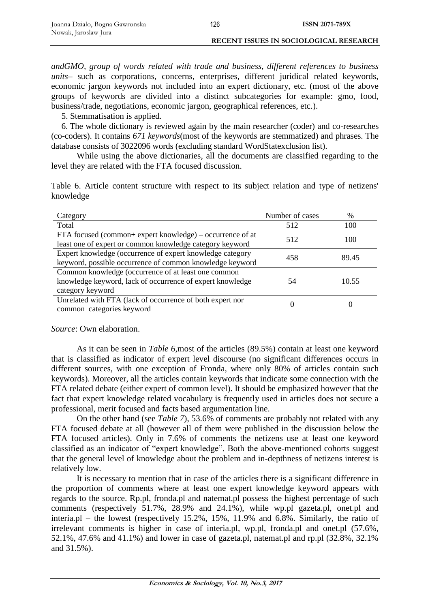#### **RECENT ISSUES IN SOCIOLOGICAL RESEARCH**

*andGMO, group of words related with trade and business, different references to business units*– such as corporations, concerns, enterprises, different juridical related keywords, economic jargon keywords not included into an expert dictionary, etc. (most of the above groups of keywords are divided into a distinct subcategories for example: gmo, food, business/trade, negotiations, economic jargon, geographical references, etc.).

126

5. Stemmatisation is applied.

6. The whole dictionary is reviewed again by the main researcher (coder) and co-researches (co-coders). It contains *671 keywords*(most of the keywords are stemmatized) and phrases. The database consists of 3022096 words (excluding standard WordStatexclusion list).

While using the above dictionaries, all the documents are classified regarding to the level they are related with the FTA focused discussion.

Table 6. Article content structure with respect to its subject relation and type of netizens' knowledge

| Category                                                                                                                             | Number of cases | %     |
|--------------------------------------------------------------------------------------------------------------------------------------|-----------------|-------|
| Total                                                                                                                                | 512             | 100   |
| FTA focused (common+ expert knowledge) – occurrence of at<br>least one of expert or common knowledge category keyword                | 512             | 100   |
| Expert knowledge (occurrence of expert knowledge category<br>keyword, possible occurrence of common knowledge keyword                | 458             | 89.45 |
| Common knowledge (occurrence of at least one common<br>knowledge keyword, lack of occurrence of expert knowledge<br>category keyword | 54              | 10.55 |
| Unrelated with FTA (lack of occurrence of both expert nor<br>common categories keyword                                               | U               |       |

*Source*: Own elaboration.

As it can be seen in *Table 6*,most of the articles (89.5%) contain at least one keyword that is classified as indicator of expert level discourse (no significant differences occurs in different sources, with one exception of Fronda, where only 80% of articles contain such keywords). Moreover, all the articles contain keywords that indicate some connection with the FTA related debate (either expert of common level). It should be emphasized however that the fact that expert knowledge related vocabulary is frequently used in articles does not secure a professional, merit focused and facts based argumentation line.

On the other hand (see *Table 7*), 53.6% of comments are probably not related with any FTA focused debate at all (however all of them were published in the discussion below the FTA focused articles). Only in 7.6% of comments the netizens use at least one keyword classified as an indicator of "expert knowledge". Both the above-mentioned cohorts suggest that the general level of knowledge about the problem and in-depthness of netizens interest is relatively low.

It is necessary to mention that in case of the articles there is a significant difference in the proportion of comments where at least one expert knowledge keyword appears with regards to the source. Rp.pl, fronda.pl and natemat.pl possess the highest percentage of such comments (respectively 51.7%, 28.9% and 24.1%), while wp.pl gazeta.pl, onet.pl and interia.pl – the lowest (respectively 15.2%, 15%, 11.9% and 6.8%. Similarly, the ratio of irrelevant comments is higher in case of interia.pl, wp.pl, fronda.pl and onet.pl (57.6%, 52.1%, 47.6% and 41.1%) and lower in case of gazeta.pl, natemat.pl and rp.pl (32.8%, 32.1% and 31.5%).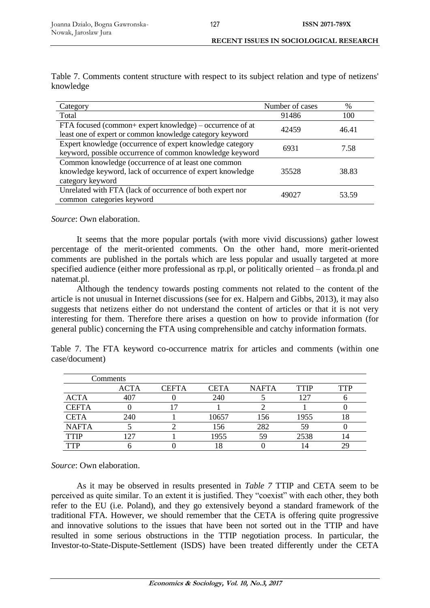| Category                                                  | Number of cases | %     |  |
|-----------------------------------------------------------|-----------------|-------|--|
| Total                                                     | 91486           | 100   |  |
| FTA focused (common+ expert knowledge) – occurrence of at | 42459           | 46.41 |  |
| least one of expert or common knowledge category keyword  |                 |       |  |
| Expert knowledge (occurrence of expert knowledge category | 6931            | 7.58  |  |
| keyword, possible occurrence of common knowledge keyword  |                 |       |  |
| Common knowledge (occurrence of at least one common       |                 |       |  |
| knowledge keyword, lack of occurrence of expert knowledge | 35528           | 38.83 |  |
| category keyword                                          |                 |       |  |
| Unrelated with FTA (lack of occurrence of both expert nor | 49027           | 53.59 |  |
| common categories keyword                                 |                 |       |  |

Table 7. Comments content structure with respect to its subject relation and type of netizens' knowledge

*Source*: Own elaboration.

It seems that the more popular portals (with more vivid discussions) gather lowest percentage of the merit-oriented comments. On the other hand, more merit-oriented comments are published in the portals which are less popular and usually targeted at more specified audience (either more professional as rp.pl, or politically oriented – as fronda.pl and natemat.pl.

Although the tendency towards posting comments not related to the content of the article is not unusual in Internet discussions (see for ex. Halpern and Gibbs, 2013), it may also suggests that netizens either do not understand the content of articles or that it is not very interesting for them. Therefore there arises a question on how to provide information (for general public) concerning the FTA using comprehensible and catchy information formats.

Table 7. The FTA keyword co-occurrence matrix for articles and comments (within one case/document)

|              | Comments    |              |       |              |      |            |
|--------------|-------------|--------------|-------|--------------|------|------------|
|              | <b>ACTA</b> | <b>CEFTA</b> | CETA  | <b>NAFTA</b> | TTIP | <b>TTP</b> |
| <b>ACTA</b>  | 407         |              | 240   |              | 127  |            |
| <b>CEFTA</b> |             |              |       |              |      |            |
| <b>CETA</b>  | 240         |              | 10657 | 156          | 1955 | 18         |
| <b>NAFTA</b> |             |              | 156   | 282          | 59   |            |
| <b>TTIP</b>  |             |              | 1955  | 59           | 2538 |            |
| <b>TTP</b>   |             |              |       |              |      | 7G         |

*Source*: Own elaboration.

As it may be observed in results presented in *Table 7* TTIP and CETA seem to be perceived as quite similar. To an extent it is justified. They "coexist" with each other, they both refer to the EU (i.e. Poland), and they go extensively beyond a standard framework of the traditional FTA. However, we should remember that the CETA is offering quite progressive and innovative solutions to the issues that have been not sorted out in the TTIP and have resulted in some serious obstructions in the TTIP negotiation process. In particular, the Investor-to-State-Dispute-Settlement (ISDS) have been treated differently under the CETA

127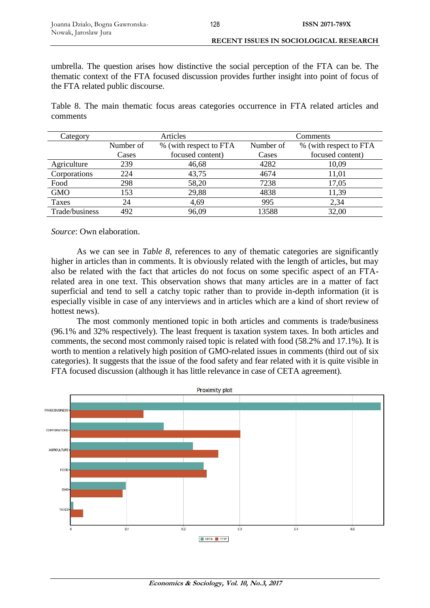umbrella. The question arises how distinctive the social perception of the FTA can be. The thematic context of the FTA focused discussion provides further insight into point of focus of the FTA related public discourse.

Table 8. The main thematic focus areas categories occurrence in FTA related articles and comments

| Category       |           | Articles               | Comments  |                        |  |
|----------------|-----------|------------------------|-----------|------------------------|--|
|                | Number of | % (with respect to FTA | Number of | % (with respect to FTA |  |
|                | Cases     | focused content)       | Cases     | focused content)       |  |
| Agriculture    | 239       | 46,68                  | 4282      | 10.09                  |  |
| Corporations   | 224       | 43,75                  | 4674      | 11,01                  |  |
| Food           | 298       | 58,20                  | 7238      | 17,05                  |  |
| <b>GMO</b>     | 153       | 29,88                  | 4838      | 11,39                  |  |
| Taxes          | 24        | 4,69                   | 995       | 2,34                   |  |
| Trade/business | 492       | 96,09                  | 13588     | 32,00                  |  |

*Source*: Own elaboration.

As we can see in *Table 8*, references to any of thematic categories are significantly higher in articles than in comments. It is obviously related with the length of articles, but may also be related with the fact that articles do not focus on some specific aspect of an FTArelated area in one text. This observation shows that many articles are in a matter of fact superficial and tend to sell a catchy topic rather than to provide in-depth information (it is especially visible in case of any interviews and in articles which are a kind of short review of hottest news).

The most commonly mentioned topic in both articles and comments is trade/business (96.1% and 32% respectively). The least frequent is taxation system taxes. In both articles and comments, the second most commonly raised topic is related with food (58.2% and 17.1%). It is worth to mention a relatively high position of GMO-related issues in comments (third out of six categories). It suggests that the issue of the food safety and fear related with it is quite visible in FTA focused discussion (although it has little relevance in case of CETA agreement).

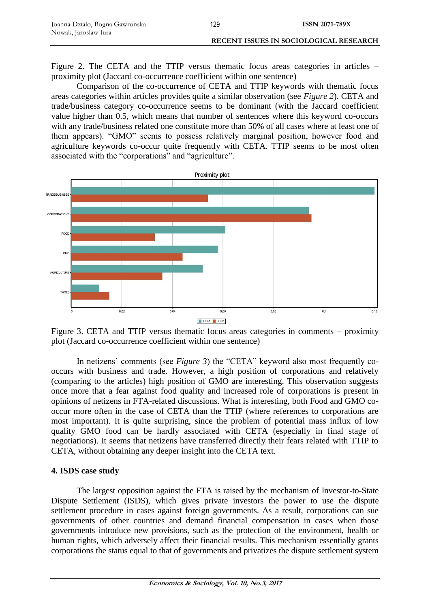Figure 2. The CETA and the TTIP versus thematic focus areas categories in articles – proximity plot (Jaccard co-occurrence coefficient within one sentence)

Comparison of the co-occurrence of CETA and TTIP keywords with thematic focus areas categories within articles provides quite a similar observation (see *Figure 2*). CETA and trade/business category co-occurrence seems to be dominant (with the Jaccard coefficient value higher than 0.5, which means that number of sentences where this keyword co-occurs with any trade/business related one constitute more than 50% of all cases where at least one of them appears). "GMO" seems to possess relatively marginal position, however food and agriculture keywords co-occur quite frequently with CETA. TTIP seems to be most often associated with the "corporations" and "agriculture".



Figure 3. CETA and TTIP versus thematic focus areas categories in comments – proximity plot (Jaccard co-occurrence coefficient within one sentence)

In netizens' comments (see *Figure 3*) the "CETA" keyword also most frequently cooccurs with business and trade. However, a high position of corporations and relatively (comparing to the articles) high position of GMO are interesting. This observation suggests once more that a fear against food quality and increased role of corporations is present in opinions of netizens in FTA-related discussions. What is interesting, both Food and GMO cooccur more often in the case of CETA than the TTIP (where references to corporations are most important). It is quite surprising, since the problem of potential mass influx of low quality GMO food can be hardly associated with CETA (especially in final stage of negotiations). It seems that netizens have transferred directly their fears related with TTIP to CETA, without obtaining any deeper insight into the CETA text.

# **4. ISDS case study**

The largest opposition against the FTA is raised by the mechanism of Investor-to-State Dispute Settlement (ISDS), which gives private investors the power to use the dispute settlement procedure in cases against foreign governments. As a result, corporations can sue governments of other countries and demand financial compensation in cases when those governments introduce new provisions, such as the protection of the environment, health or human rights, which adversely affect their financial results. This mechanism essentially grants corporations the status equal to that of governments and privatizes the dispute settlement system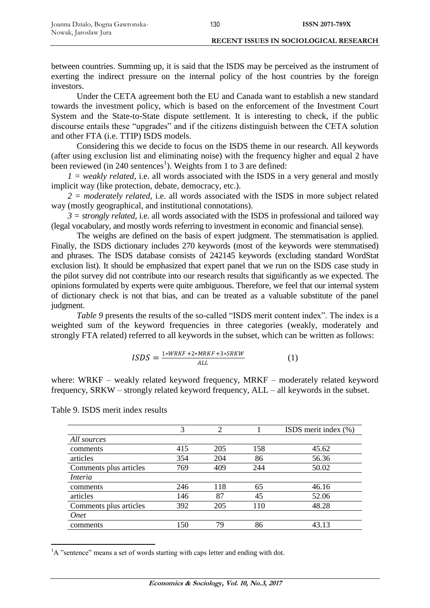between countries. Summing up, it is said that the ISDS may be perceived as the instrument of exerting the indirect pressure on the internal policy of the host countries by the foreign investors.

Under the CETA agreement both the EU and Canada want to establish a new standard towards the investment policy, which is based on the enforcement of the Investment Court System and the State-to-State dispute settlement. It is interesting to check, if the public discourse entails these "upgrades" and if the citizens distinguish between the CETA solution and other FTA (i.e. TTIP) ISDS models.

Considering this we decide to focus on the ISDS theme in our research. All keywords (after using exclusion list and eliminating noise) with the frequency higher and equal 2 have been reviewed (in 240 sentences<sup>1</sup>). Weights from 1 to 3 are defined:

 $I = weakly related, i.e. all words associated with the ISDS in a very general and mostly$ implicit way (like protection, debate, democracy, etc.).

*2 = moderately related*, i.e. all words associated with the ISDS in more subject related way (mostly geographical, and institutional connotations).

 $3 =$  *strongly related*, i.e. all words associated with the ISDS in professional and tailored way (legal vocabulary, and mostly words referring to investment in economic and financial sense).

The weighs are defined on the basis of expert judgment. The stemmatisation is applied. Finally, the ISDS dictionary includes 270 keywords (most of the keywords were stemmatised) and phrases. The ISDS database consists of 242145 keywords (excluding standard WordStat exclusion list). It should be emphasized that expert panel that we run on the ISDS case study in the pilot survey did not contribute into our research results that significantly as we expected. The opinions formulated by experts were quite ambiguous. Therefore, we feel that our internal system of dictionary check is not that bias, and can be treated as a valuable substitute of the panel judgment.

*Table 9* presents the results of the so-called "ISDS merit content index". The index is a weighted sum of the keyword frequencies in three categories (weakly, moderately and strongly FTA related) referred to all keywords in the subset, which can be written as follows:

$$
ISDS = \frac{1*WRKF + 2*MRKF + 3*SRKW}{ALL}
$$
 (1)

where: WRKF – weakly related keyword frequency, MRKF – moderately related keyword frequency, SRKW – strongly related keyword frequency, ALL – all keywords in the subset.

|                        | 3   | $\mathfrak{D}$ |     | ISDS merit index (%) |
|------------------------|-----|----------------|-----|----------------------|
| All sources            |     |                |     |                      |
| comments               | 415 | 205            | 158 | 45.62                |
| articles               | 354 | 204            | 86  | 56.36                |
| Comments plus articles | 769 | 409            | 244 | 50.02                |
| <i>Interia</i>         |     |                |     |                      |
| comments               | 246 | 118            | 65  | 46.16                |
| articles               | 146 | 87             | 45  | 52.06                |
| Comments plus articles | 392 | 205            | 110 | 48.28                |
| Onet                   |     |                |     |                      |
| comments               | 150 | 79             | 86  | 43.13                |

Table 9. ISDS merit index results

<sup>1</sup>A "sentence" means a set of words starting with caps letter and ending with dot.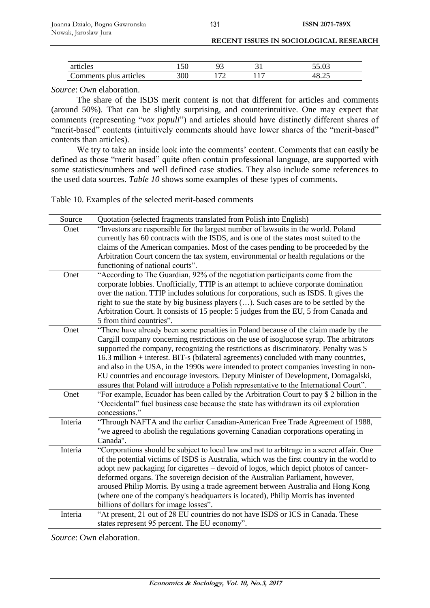| articles               |     |  |        |
|------------------------|-----|--|--------|
| Comments plus articles | 300 |  | ـہ∠.ں∵ |

*Source*: Own elaboration.

The share of the ISDS merit content is not that different for articles and comments (around 50%). That can be slightly surprising, and counterintuitive. One may expect that comments (representing "*vox populi*") and articles should have distinctly different shares of "merit-based" contents (intuitively comments should have lower shares of the "merit-based" contents than articles).

We try to take an inside look into the comments' content. Comments that can easily be defined as those "merit based" quite often contain professional language, are supported with some statistics/numbers and well defined case studies. They also include some references to the used data sources. *Table 10* shows some examples of these types of comments.

Table 10. Examples of the selected merit-based comments

| Source  | Quotation (selected fragments translated from Polish into English)                         |
|---------|--------------------------------------------------------------------------------------------|
| Onet    | "Investors are responsible for the largest number of lawsuits in the world. Poland         |
|         | currently has 60 contracts with the ISDS, and is one of the states most suited to the      |
|         | claims of the American companies. Most of the cases pending to be proceeded by the         |
|         | Arbitration Court concern the tax system, environmental or health regulations or the       |
|         | functioning of national courts".                                                           |
| Onet    | "According to The Guardian, 92% of the negotiation participants come from the              |
|         | corporate lobbies. Unofficially, TTIP is an attempt to achieve corporate domination        |
|         | over the nation. TTIP includes solutions for corporations, such as ISDS. It gives the      |
|         | right to sue the state by big business players (). Such cases are to be settled by the     |
|         | Arbitration Court. It consists of 15 people: 5 judges from the EU, 5 from Canada and       |
|         | 5 from third countries".                                                                   |
| Onet    | "There have already been some penalties in Poland because of the claim made by the         |
|         | Cargill company concerning restrictions on the use of isoglucose syrup. The arbitrators    |
|         | supported the company, recognizing the restrictions as discriminatory. Penalty was \$      |
|         | 16.3 million + interest. BIT-s (bilateral agreements) concluded with many countries,       |
|         | and also in the USA, in the 1990s were intended to protect companies investing in non-     |
|         | EU countries and encourage investors. Deputy Minister of Development, Domagalski,          |
|         | assures that Poland will introduce a Polish representative to the International Court".    |
| Onet    | "For example, Ecuador has been called by the Arbitration Court to pay \$ 2 billion in the  |
|         | "Occidental" fuel business case because the state has withdrawn its oil exploration        |
|         | concessions."                                                                              |
| Interia | "Through NAFTA and the earlier Canadian-American Free Trade Agreement of 1988,             |
|         | "we agreed to abolish the regulations governing Canadian corporations operating in         |
|         | Canada".                                                                                   |
| Interia | "Corporations should be subject to local law and not to arbitrage in a secret affair. One  |
|         | of the potential victims of ISDS is Australia, which was the first country in the world to |
|         | adopt new packaging for cigarettes – devoid of logos, which depict photos of cancer-       |
|         | deformed organs. The sovereign decision of the Australian Parliament, however,             |
|         | aroused Philip Morris. By using a trade agreement between Australia and Hong Kong          |
|         | (where one of the company's headquarters is located), Philip Morris has invented           |
|         | billions of dollars for image losses".                                                     |
| Interia | "At present, 21 out of 28 EU countries do not have ISDS or ICS in Canada. These            |
|         | states represent 95 percent. The EU economy".                                              |

*Source*: Own elaboration.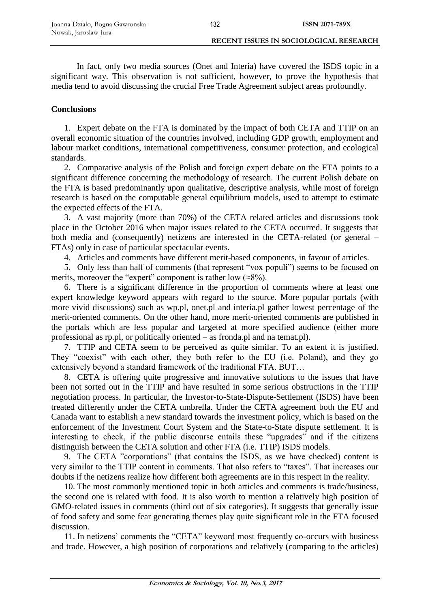In fact, only two media sources (Onet and Interia) have covered the ISDS topic in a significant way. This observation is not sufficient, however, to prove the hypothesis that media tend to avoid discussing the crucial Free Trade Agreement subject areas profoundly.

# **Conclusions**

1. Expert debate on the FTA is dominated by the impact of both CETA and TTIP on an overall economic situation of the countries involved, including GDP growth, employment and labour market conditions, international competitiveness, consumer protection, and ecological standards.

2. Comparative analysis of the Polish and foreign expert debate on the FTA points to a significant difference concerning the methodology of research. The current Polish debate on the FTA is based predominantly upon qualitative, descriptive analysis, while most of foreign research is based on the computable general equilibrium models, used to attempt to estimate the expected effects of the FTA.

3. A vast majority (more than 70%) of the CETA related articles and discussions took place in the October 2016 when major issues related to the CETA occurred. It suggests that both media and (consequently) netizens are interested in the CETA-related (or general – FTAs) only in case of particular spectacular events.

4. Articles and comments have different merit-based components, in favour of articles.

5. Only less than half of comments (that represent "vox populi") seems to be focused on merits, moreover the "expert" component is rather low  $(\approx 8\%)$ .

6. There is a significant difference in the proportion of comments where at least one expert knowledge keyword appears with regard to the source. More popular portals (with more vivid discussions) such as wp.pl, onet.pl and interia.pl gather lowest percentage of the merit-oriented comments. On the other hand, more merit-oriented comments are published in the portals which are less popular and targeted at more specified audience (either more professional as rp.pl, or politically oriented – as fronda.pl and na temat.pl).

7. TTIP and CETA seem to be perceived as quite similar. To an extent it is justified. They "coexist" with each other, they both refer to the EU (i.e. Poland), and they go extensively beyond a standard framework of the traditional FTA. BUT…

8. CETA is offering quite progressive and innovative solutions to the issues that have been not sorted out in the TTIP and have resulted in some serious obstructions in the TTIP negotiation process. In particular, the Investor-to-State-Dispute-Settlement (ISDS) have been treated differently under the CETA umbrella. Under the CETA agreement both the EU and Canada want to establish a new standard towards the investment policy, which is based on the enforcement of the Investment Court System and the State-to-State dispute settlement. It is interesting to check, if the public discourse entails these "upgrades" and if the citizens distinguish between the CETA solution and other FTA (i.e. TTIP) ISDS models.

9. The CETA "corporations" (that contains the ISDS, as we have checked) content is very similar to the TTIP content in comments. That also refers to "taxes". That increases our doubts if the netizens realize how different both agreements are in this respect in the reality.

10. The most commonly mentioned topic in both articles and comments is trade/business, the second one is related with food. It is also worth to mention a relatively high position of GMO-related issues in comments (third out of six categories). It suggests that generally issue of food safety and some fear generating themes play quite significant role in the FTA focused discussion.

11. In netizens' comments the "CETA" keyword most frequently co-occurs with business and trade. However, a high position of corporations and relatively (comparing to the articles)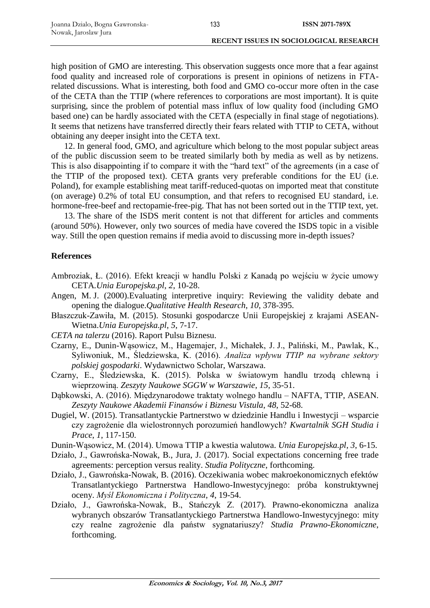high position of GMO are interesting. This observation suggests once more that a fear against food quality and increased role of corporations is present in opinions of netizens in FTArelated discussions. What is interesting, both food and GMO co-occur more often in the case of the CETA than the TTIP (where references to corporations are most important). It is quite surprising, since the problem of potential mass influx of low quality food (including GMO based one) can be hardly associated with the CETA (especially in final stage of negotiations). It seems that netizens have transferred directly their fears related with TTIP to CETA, without obtaining any deeper insight into the CETA text.

12. In general food, GMO, and agriculture which belong to the most popular subject areas of the public discussion seem to be treated similarly both by media as well as by netizens. This is also disappointing if to compare it with the "hard text" of the agreements (in a case of the TTIP of the proposed text). CETA grants very preferable conditions for the EU (i.e. Poland), for example establishing meat tariff-reduced-quotas on imported meat that constitute (on average) 0.2% of total EU consumption, and that refers to recognised EU standard, i.e. hormone-free-beef and rectopamie-free-pig. That has not been sorted out in the TTIP text, yet.

13. The share of the ISDS merit content is not that different for articles and comments (around 50%). However, only two sources of media have covered the ISDS topic in a visible way. Still the open question remains if media avoid to discussing more in-depth issues?

# **References**

- Ambroziak, Ł. (2016). Efekt kreacji w handlu Polski z Kanadą po wejściu w życie umowy CETA*.Unia Europejska.pl*, *2*, 10-28.
- Angen, M. J. (2000).Evaluating interpretive inquiry: Reviewing the validity debate and opening the dialogue.*Qualitative Health Research*, *10*, 378-395.
- Błaszczuk-Zawiła, M. (2015). Stosunki gospodarcze Unii Europejskiej z krajami ASEAN-Wietna.*Unia Europejska.pl*, *5*, 7-17.
- *CETA na talerzu* (2016). Raport Pulsu Biznesu.
- Czarny, E., Dunin-Wąsowicz, M., Hagemajer, J., Michałek, J. J., Paliński, M., Pawlak, K., Syliwoniuk, M., Śledziewska, K. (2016). *Analiza wpływu TTIP na wybrane sektory polskiej gospodarki*. Wydawnictwo Scholar, Warszawa.
- Czarny, E., Śledziewska, K. (2015). Polska w światowym handlu trzodą chlewną i wieprzowiną. *Zeszyty Naukowe SGGW w Warszawie*, *15*, 35-51.
- Dąbkowski, A. (2016). Międzynarodowe traktaty wolnego handlu NAFTA, TTIP, ASEAN. *Zeszyty Naukowe Akademii Finansów i Biznesu Vistula*, *48*, 52-68.
- Dugiel, W. (2015). Transatlantyckie Partnerstwo w dziedzinie Handlu i Inwestycji wsparcie czy zagrożenie dla wielostronnych porozumień handlowych? *Kwartalnik SGH Studia i Prace*, *1*, 117-150.
- Dunin-Wąsowicz, M. (2014). Umowa TTIP a kwestia walutowa. *Unia Europejska.pl*, *3*, 6-15.
- Działo, J., Gawrońska-Nowak, B., Jura, J. (2017). Social expectations concerning free trade agreements: perception versus reality. *Studia Polityczne*, forthcoming.
- Działo, J., Gawrońska-Nowak, B. (2016). Oczekiwania wobec makroekonomicznych efektów Transatlantyckiego Partnerstwa Handlowo-Inwestycyjnego: próba konstruktywnej oceny. *Myśl Ekonomiczna i Polityczna*, *4*, 19-54.
- Działo, J., Gawrońska-Nowak, B., Stańczyk Z. (2017). Prawno-ekonomiczna analiza wybranych obszarów Transatlantyckiego Partnerstwa Handlowo-Inwestycyjnego: mity czy realne zagrożenie dla państw sygnatariuszy? *Studia Prawno-Ekonomiczne*, forthcoming.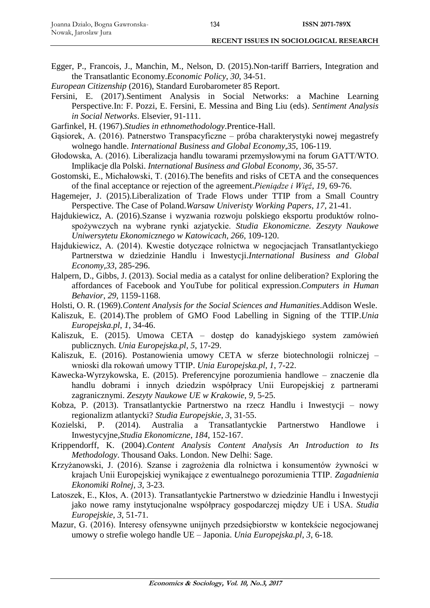- Egger, P., Francois, J., Manchin, M., Nelson, D. (2015).Non-tariff Barriers, Integration and the Transatlantic Economy.*Economic Policy*, *30*, 34-51.
- *European Citizenship* (2016), Standard Eurobarometer 85 Report.
- Fersini, E. (2017).Sentiment Analysis in Social Networks: a Machine Learning Perspective.In: F. Pozzi, E. Fersini, E. Messina and Bing Liu (eds). *Sentiment Analysis in Social Networks*. Elsevier, 91-111.
- Garfinkel, H. (1967).*Studies in ethnomethodology*.Prentice-Hall.
- Gąsiorek, A. (2016). Patnerstwo Transpacyficzne próba charakterystyki nowej megastrefy wolnego handle. *International Business and Global Economy*,*35*, 106-119.
- Głodowska, A. (2016). Liberalizacja handlu towarami przemysłowymi na forum GATT/WTO. Implikacje dla Polski. *International Business and Global Economy*, *36*, 35-57.
- Gostomski, E., Michałowski, T. (2016).The benefits and risks of CETA and the consequences of the final acceptance or rejection of the agreement.*Pieniądze i Więź*, *19*, 69-76.
- Hagemejer, J. (2015).Liberalization of Trade Flows under TTIP from a Small Country Perspective. The Case of Poland.*Warsaw Univeristy Working Papers*, *17*, 21-41.
- Hajdukiewicz, A. (2016).Szanse i wyzwania rozwoju polskiego eksportu produktów rolnospożywczych na wybrane rynki azjatyckie. *Studia Ekonomiczne. Zeszyty Naukowe Uniwersytetu Ekonomicznego w Katowicach*, *266*, 109-120.
- Hajdukiewicz, A. (2014). Kwestie dotyczące rolnictwa w negocjacjach Transatlantyckiego Partnerstwa w dziedzinie Handlu i Inwestycji.*International Business and Global Economy*,*33*, 285-296.
- Halpern, D., Gibbs, J. (2013). Social media as a catalyst for online deliberation? Exploring the affordances of Facebook and YouTube for political expression.*Computers in Human Behavior*, *29*, 1159-1168.
- Holsti, O. R. (1969).*Content Analysis for the Social Sciences and Humanities*.Addison Wesle.
- Kaliszuk, E. (2014).The problem of GMO Food Labelling in Signing of the TTIP.*Unia Europejska.pl*, *1*, 34-46.
- Kaliszuk, E. (2015). Umowa CETA dostęp do kanadyjskiego system zamówień publicznych. *Unia Europejska.pl*, *5*, 17-29.
- Kaliszuk, E. (2016). Postanowienia umowy CETA w sferze biotechnologii rolniczej wnioski dla rokowań umowy TTIP. *Unia Europejska.pl*, *1*, 7-22.
- Kawecka-Wyrzykowska, E. (2015). Preferencyjne porozumienia handlowe znaczenie dla handlu dobrami i innych dziedzin współpracy Unii Europejskiej z partnerami zagranicznymi. *Zeszyty Naukowe UE w Krakowie*, *9*, 5-25.
- Kobza, P. (2013). Transatlantyckie Partnerstwo na rzecz Handlu i Inwestycji nowy regionalizm atlantycki? *Studia Europejskie*, *3*, 31-55.
- Kozielski, P. (2014). Australia a Transatlantyckie Partnerstwo Handlowe i Inwestycyjne,*Studia Ekonomiczne*, *184*, 152-167.
- Krippendorff, K. (2004).*Content Analysis Content Analysis An Introduction to Its Methodology*. Thousand Oaks. London. New Delhi: Sage.
- Krzyżanowski, J. (2016). Szanse i zagrożenia dla rolnictwa i konsumentów żywności w krajach Unii Europejskiej wynikające z ewentualnego porozumienia TTIP. *Zagadnienia Ekonomiki Rolnej*, *3*, 3-23.
- Latoszek, E., Kłos, A. (2013). Transatlantyckie Partnerstwo w dziedzinie Handlu i Inwestycji jako nowe ramy instytucjonalne współpracy gospodarczej między UE i USA. *Studia Europejskie*, *3*, 51-71.
- Mazur, G. (2016). Interesy ofensywne unijnych przedsiębiorstw w kontekście negocjowanej umowy o strefie wolego handle UE – Japonia. *Unia Europejska.pl*, *3*, 6-18.